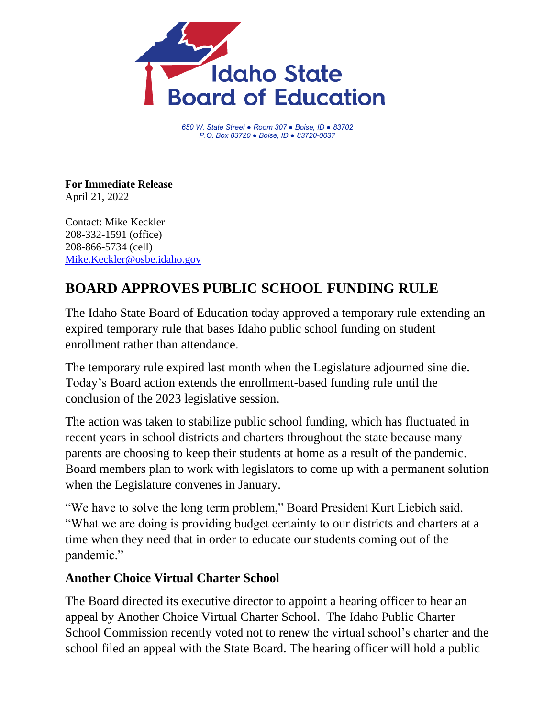

*650 W. State Street ● Room 307 ● Boise, ID ● 83702 P.O. Box 83720 ● Boise, ID ● 83720-0037*

**For Immediate Release** April 21, 2022

Contact: Mike Keckler 208-332-1591 (office) 208-866-5734 (cell) [Mike.Keckler@osbe.idaho.gov](mailto:Mike.Keckler@osbe.idaho.gov)

## **BOARD APPROVES PUBLIC SCHOOL FUNDING RULE**

The Idaho State Board of Education today approved a temporary rule extending an expired temporary rule that bases Idaho public school funding on student enrollment rather than attendance.

The temporary rule expired last month when the Legislature adjourned sine die. Today's Board action extends the enrollment-based funding rule until the conclusion of the 2023 legislative session.

The action was taken to stabilize public school funding, which has fluctuated in recent years in school districts and charters throughout the state because many parents are choosing to keep their students at home as a result of the pandemic. Board members plan to work with legislators to come up with a permanent solution when the Legislature convenes in January.

"We have to solve the long term problem," Board President Kurt Liebich said. "What we are doing is providing budget certainty to our districts and charters at a time when they need that in order to educate our students coming out of the pandemic."

## **Another Choice Virtual Charter School**

The Board directed its executive director to appoint a hearing officer to hear an appeal by Another Choice Virtual Charter School. The Idaho Public Charter School Commission recently voted not to renew the virtual school's charter and the school filed an appeal with the State Board. The hearing officer will hold a public